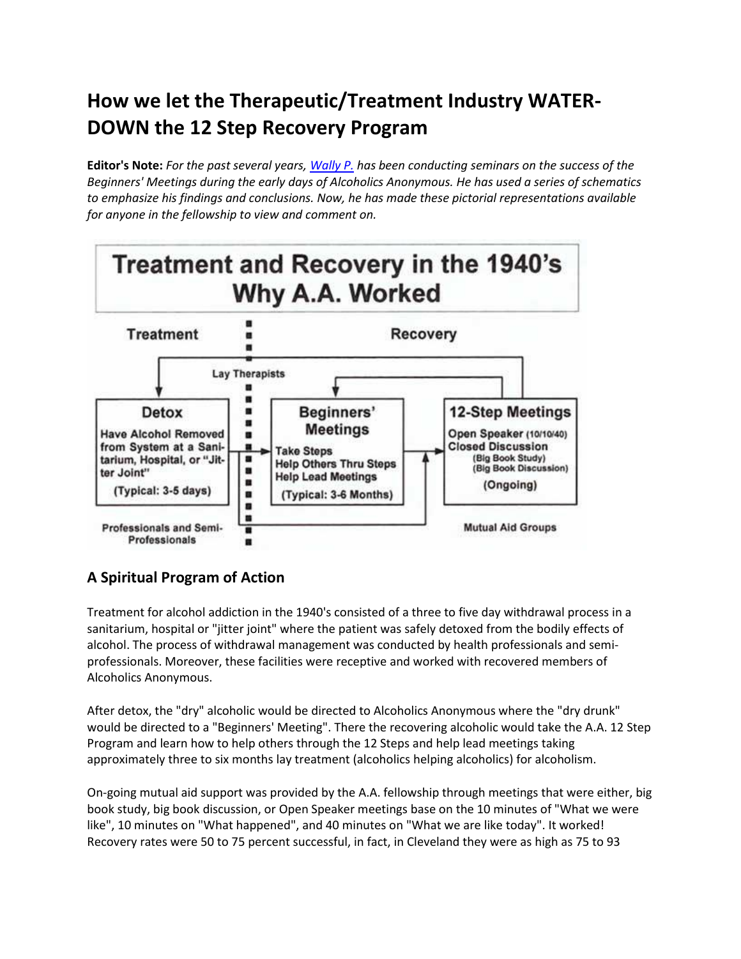## **How we let the Therapeutic/Treatment Industry WATER-DOWN the 12 Step Recovery Program**

**Editor's Note:** *For the past several years, [Wally P.](http://www.aabacktobasics.org/) has been conducting seminars on the success of the Beginners' Meetings during the early days of Alcoholics Anonymous. He has used a series of schematics to emphasize his findings and conclusions. Now, he has made these pictorial representations available for anyone in the fellowship to view and comment on.*



## **A Spiritual Program of Action**

Treatment for alcohol addiction in the 1940's consisted of a three to five day withdrawal process in a sanitarium, hospital or "jitter joint" where the patient was safely detoxed from the bodily effects of alcohol. The process of withdrawal management was conducted by health professionals and semiprofessionals. Moreover, these facilities were receptive and worked with recovered members of Alcoholics Anonymous.

After detox, the "dry" alcoholic would be directed to Alcoholics Anonymous where the "dry drunk" would be directed to a "Beginners' Meeting". There the recovering alcoholic would take the A.A. 12 Step Program and learn how to help others through the 12 Steps and help lead meetings taking approximately three to six months lay treatment (alcoholics helping alcoholics) for alcoholism.

On-going mutual aid support was provided by the A.A. fellowship through meetings that were either, big book study, big book discussion, or Open Speaker meetings base on the 10 minutes of "What we were like", 10 minutes on "What happened", and 40 minutes on "What we are like today". It worked! Recovery rates were 50 to 75 percent successful, in fact, in Cleveland they were as high as 75 to 93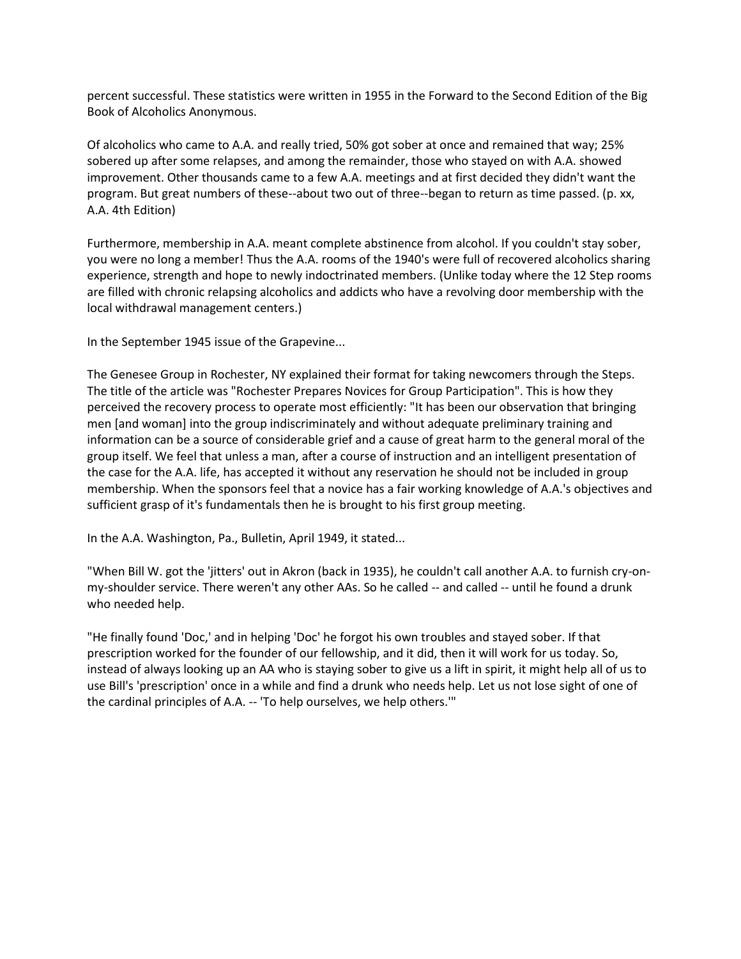percent successful. These statistics were written in 1955 in the Forward to the Second Edition of the Big Book of Alcoholics Anonymous.

Of alcoholics who came to A.A. and really tried, 50% got sober at once and remained that way; 25% sobered up after some relapses, and among the remainder, those who stayed on with A.A. showed improvement. Other thousands came to a few A.A. meetings and at first decided they didn't want the program. But great numbers of these--about two out of three--began to return as time passed. (p. xx, A.A. 4th Edition)

Furthermore, membership in A.A. meant complete abstinence from alcohol. If you couldn't stay sober, you were no long a member! Thus the A.A. rooms of the 1940's were full of recovered alcoholics sharing experience, strength and hope to newly indoctrinated members. (Unlike today where the 12 Step rooms are filled with chronic relapsing alcoholics and addicts who have a revolving door membership with the local withdrawal management centers.)

In the September 1945 issue of the Grapevine...

The Genesee Group in Rochester, NY explained their format for taking newcomers through the Steps. The title of the article was "Rochester Prepares Novices for Group Participation". This is how they perceived the recovery process to operate most efficiently: "It has been our observation that bringing men [and woman] into the group indiscriminately and without adequate preliminary training and information can be a source of considerable grief and a cause of great harm to the general moral of the group itself. We feel that unless a man, after a course of instruction and an intelligent presentation of the case for the A.A. life, has accepted it without any reservation he should not be included in group membership. When the sponsors feel that a novice has a fair working knowledge of A.A.'s objectives and sufficient grasp of it's fundamentals then he is brought to his first group meeting.

In the A.A. Washington, Pa., Bulletin, April 1949, it stated...

"When Bill W. got the 'jitters' out in Akron (back in 1935), he couldn't call another A.A. to furnish cry-onmy-shoulder service. There weren't any other AAs. So he called -- and called -- until he found a drunk who needed help.

"He finally found 'Doc,' and in helping 'Doc' he forgot his own troubles and stayed sober. If that prescription worked for the founder of our fellowship, and it did, then it will work for us today. So, instead of always looking up an AA who is staying sober to give us a lift in spirit, it might help all of us to use Bill's 'prescription' once in a while and find a drunk who needs help. Let us not lose sight of one of the cardinal principles of A.A. -- 'To help ourselves, we help others.'"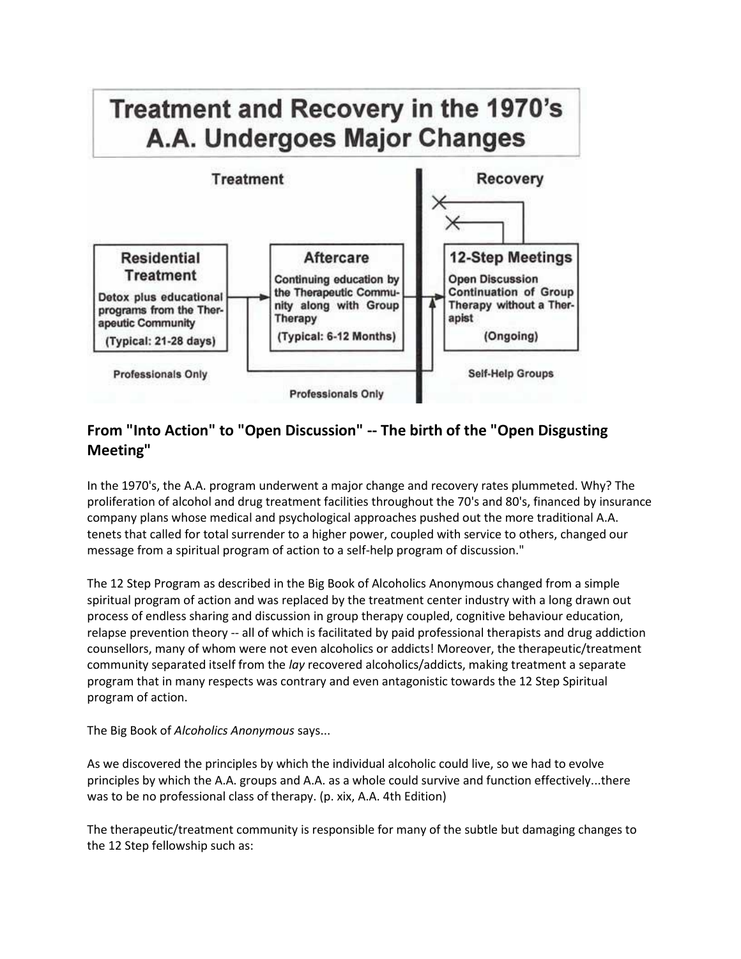

## **From "Into Action" to "Open Discussion" -- The birth of the "Open Disgusting Meeting"**

In the 1970's, the A.A. program underwent a major change and recovery rates plummeted. Why? The proliferation of alcohol and drug treatment facilities throughout the 70's and 80's, financed by insurance company plans whose medical and psychological approaches pushed out the more traditional A.A. tenets that called for total surrender to a higher power, coupled with service to others, changed our message from a spiritual program of action to a self-help program of discussion."

The 12 Step Program as described in the Big Book of Alcoholics Anonymous changed from a simple spiritual program of action and was replaced by the treatment center industry with a long drawn out process of endless sharing and discussion in group therapy coupled, cognitive behaviour education, relapse prevention theory -- all of which is facilitated by paid professional therapists and drug addiction counsellors, many of whom were not even alcoholics or addicts! Moreover, the therapeutic/treatment community separated itself from the *lay* recovered alcoholics/addicts, making treatment a separate program that in many respects was contrary and even antagonistic towards the 12 Step Spiritual program of action.

The Big Book of *Alcoholics Anonymous* says...

As we discovered the principles by which the individual alcoholic could live, so we had to evolve principles by which the A.A. groups and A.A. as a whole could survive and function effectively...there was to be no professional class of therapy. (p. xix, A.A. 4th Edition)

The therapeutic/treatment community is responsible for many of the subtle but damaging changes to the 12 Step fellowship such as: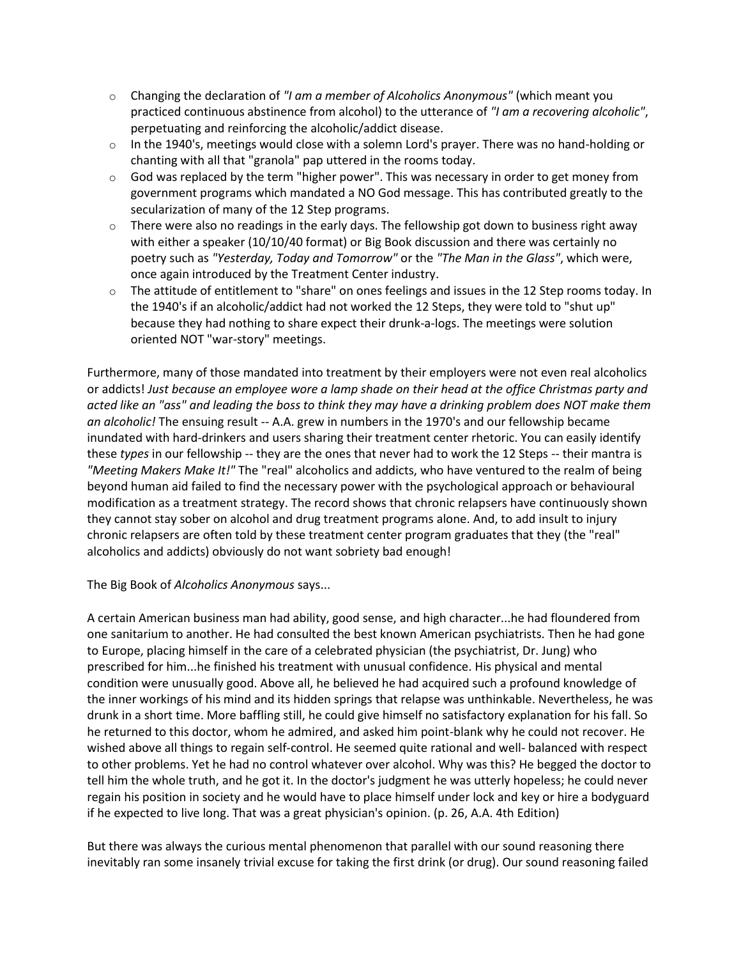- o Changing the declaration of *"I am a member of Alcoholics Anonymous"* (which meant you practiced continuous abstinence from alcohol) to the utterance of *"I am a recovering alcoholic"*, perpetuating and reinforcing the alcoholic/addict disease.
- o In the 1940's, meetings would close with a solemn Lord's prayer. There was no hand-holding or chanting with all that "granola" pap uttered in the rooms today.
- $\circ$  God was replaced by the term "higher power". This was necessary in order to get money from government programs which mandated a NO God message. This has contributed greatly to the secularization of many of the 12 Step programs.
- $\circ$  There were also no readings in the early days. The fellowship got down to business right away with either a speaker (10/10/40 format) or Big Book discussion and there was certainly no poetry such as *"Yesterday, Today and Tomorrow"* or the *"The Man in the Glass"*, which were, once again introduced by the Treatment Center industry.
- $\circ$  The attitude of entitlement to "share" on ones feelings and issues in the 12 Step rooms today. In the 1940's if an alcoholic/addict had not worked the 12 Steps, they were told to "shut up" because they had nothing to share expect their drunk-a-logs. The meetings were solution oriented NOT "war-story" meetings.

Furthermore, many of those mandated into treatment by their employers were not even real alcoholics or addicts! *Just because an employee wore a lamp shade on their head at the office Christmas party and acted like an "ass" and leading the boss to think they may have a drinking problem does NOT make them an alcoholic!* The ensuing result -- A.A. grew in numbers in the 1970's and our fellowship became inundated with hard-drinkers and users sharing their treatment center rhetoric. You can easily identify these *types* in our fellowship -- they are the ones that never had to work the 12 Steps -- their mantra is *"Meeting Makers Make It!"* The "real" alcoholics and addicts, who have ventured to the realm of being beyond human aid failed to find the necessary power with the psychological approach or behavioural modification as a treatment strategy. The record shows that chronic relapsers have continuously shown they cannot stay sober on alcohol and drug treatment programs alone. And, to add insult to injury chronic relapsers are often told by these treatment center program graduates that they (the "real" alcoholics and addicts) obviously do not want sobriety bad enough!

The Big Book of *Alcoholics Anonymous* says...

A certain American business man had ability, good sense, and high character...he had floundered from one sanitarium to another. He had consulted the best known American psychiatrists. Then he had gone to Europe, placing himself in the care of a celebrated physician (the psychiatrist, Dr. Jung) who prescribed for him...he finished his treatment with unusual confidence. His physical and mental condition were unusually good. Above all, he believed he had acquired such a profound knowledge of the inner workings of his mind and its hidden springs that relapse was unthinkable. Nevertheless, he was drunk in a short time. More baffling still, he could give himself no satisfactory explanation for his fall. So he returned to this doctor, whom he admired, and asked him point-blank why he could not recover. He wished above all things to regain self-control. He seemed quite rational and well- balanced with respect to other problems. Yet he had no control whatever over alcohol. Why was this? He begged the doctor to tell him the whole truth, and he got it. In the doctor's judgment he was utterly hopeless; he could never regain his position in society and he would have to place himself under lock and key or hire a bodyguard if he expected to live long. That was a great physician's opinion. (p. 26, A.A. 4th Edition)

But there was always the curious mental phenomenon that parallel with our sound reasoning there inevitably ran some insanely trivial excuse for taking the first drink (or drug). Our sound reasoning failed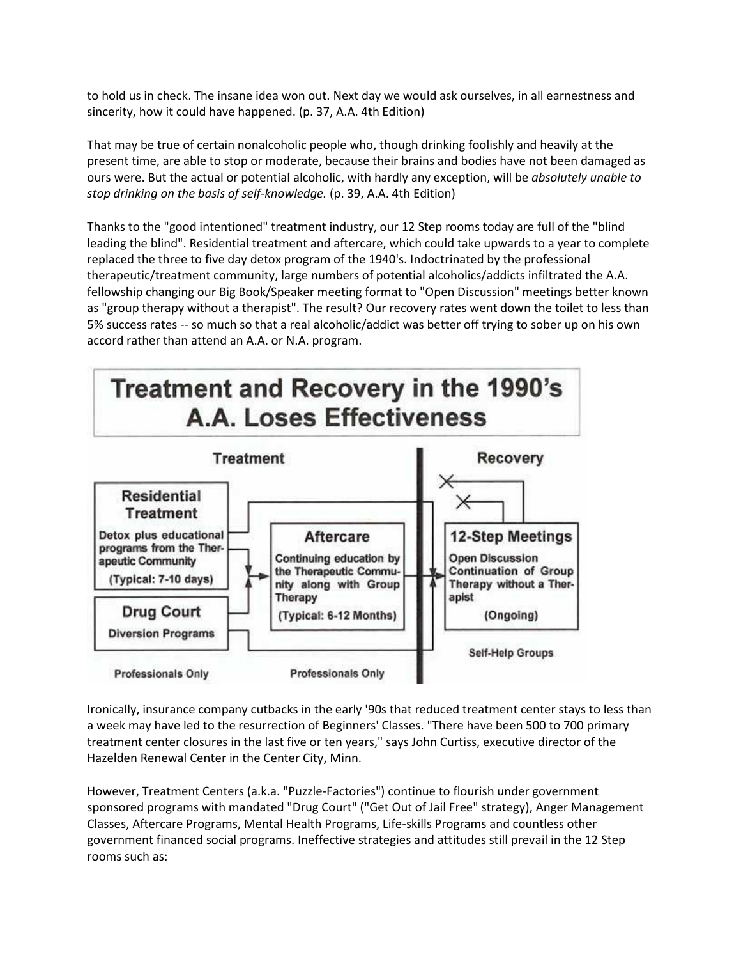to hold us in check. The insane idea won out. Next day we would ask ourselves, in all earnestness and sincerity, how it could have happened. (p. 37, A.A. 4th Edition)

That may be true of certain nonalcoholic people who, though drinking foolishly and heavily at the present time, are able to stop or moderate, because their brains and bodies have not been damaged as ours were. But the actual or potential alcoholic, with hardly any exception, will be *absolutely unable to stop drinking on the basis of self-knowledge.* (p. 39, A.A. 4th Edition)

Thanks to the "good intentioned" treatment industry, our 12 Step rooms today are full of the "blind leading the blind". Residential treatment and aftercare, which could take upwards to a year to complete replaced the three to five day detox program of the 1940's. Indoctrinated by the professional therapeutic/treatment community, large numbers of potential alcoholics/addicts infiltrated the A.A. fellowship changing our Big Book/Speaker meeting format to "Open Discussion" meetings better known as "group therapy without a therapist". The result? Our recovery rates went down the toilet to less than 5% success rates -- so much so that a real alcoholic/addict was better off trying to sober up on his own accord rather than attend an A.A. or N.A. program.



Ironically, insurance company cutbacks in the early '90s that reduced treatment center stays to less than a week may have led to the resurrection of Beginners' Classes. "There have been 500 to 700 primary treatment center closures in the last five or ten years," says John Curtiss, executive director of the Hazelden Renewal Center in the Center City, Minn.

However, Treatment Centers (a.k.a. "Puzzle-Factories") continue to flourish under government sponsored programs with mandated "Drug Court" ("Get Out of Jail Free" strategy), Anger Management Classes, Aftercare Programs, Mental Health Programs, Life-skills Programs and countless other government financed social programs. Ineffective strategies and attitudes still prevail in the 12 Step rooms such as: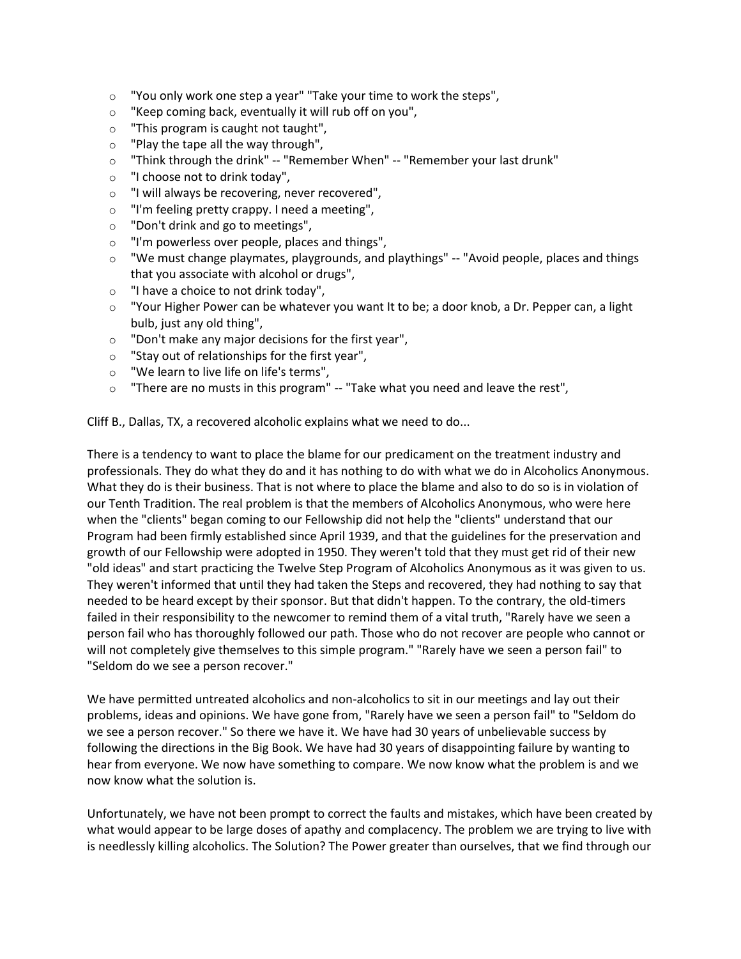- $\circ$  "You only work one step a year" "Take your time to work the steps",
- o "Keep coming back, eventually it will rub off on you",
- o "This program is caught not taught",
- o "Play the tape all the way through",
- o "Think through the drink" -- "Remember When" -- "Remember your last drunk"
- o "I choose not to drink today",
- o "I will always be recovering, never recovered",
- o "I'm feeling pretty crappy. I need a meeting",
- o "Don't drink and go to meetings",
- o "I'm powerless over people, places and things",
- o "We must change playmates, playgrounds, and playthings" -- "Avoid people, places and things that you associate with alcohol or drugs",
- o "I have a choice to not drink today",
- $\circ$  "Your Higher Power can be whatever you want It to be; a door knob, a Dr. Pepper can, a light bulb, just any old thing",
- o "Don't make any major decisions for the first year",
- o "Stay out of relationships for the first year",
- o "We learn to live life on life's terms",
- $\circ$  "There are no musts in this program" -- "Take what you need and leave the rest",

Cliff B., Dallas, TX, a recovered alcoholic explains what we need to do...

There is a tendency to want to place the blame for our predicament on the treatment industry and professionals. They do what they do and it has nothing to do with what we do in Alcoholics Anonymous. What they do is their business. That is not where to place the blame and also to do so is in violation of our Tenth Tradition. The real problem is that the members of Alcoholics Anonymous, who were here when the "clients" began coming to our Fellowship did not help the "clients" understand that our Program had been firmly established since April 1939, and that the guidelines for the preservation and growth of our Fellowship were adopted in 1950. They weren't told that they must get rid of their new "old ideas" and start practicing the Twelve Step Program of Alcoholics Anonymous as it was given to us. They weren't informed that until they had taken the Steps and recovered, they had nothing to say that needed to be heard except by their sponsor. But that didn't happen. To the contrary, the old-timers failed in their responsibility to the newcomer to remind them of a vital truth, "Rarely have we seen a person fail who has thoroughly followed our path. Those who do not recover are people who cannot or will not completely give themselves to this simple program." "Rarely have we seen a person fail" to "Seldom do we see a person recover."

We have permitted untreated alcoholics and non-alcoholics to sit in our meetings and lay out their problems, ideas and opinions. We have gone from, "Rarely have we seen a person fail" to "Seldom do we see a person recover." So there we have it. We have had 30 years of unbelievable success by following the directions in the Big Book. We have had 30 years of disappointing failure by wanting to hear from everyone. We now have something to compare. We now know what the problem is and we now know what the solution is.

Unfortunately, we have not been prompt to correct the faults and mistakes, which have been created by what would appear to be large doses of apathy and complacency. The problem we are trying to live with is needlessly killing alcoholics. The Solution? The Power greater than ourselves, that we find through our